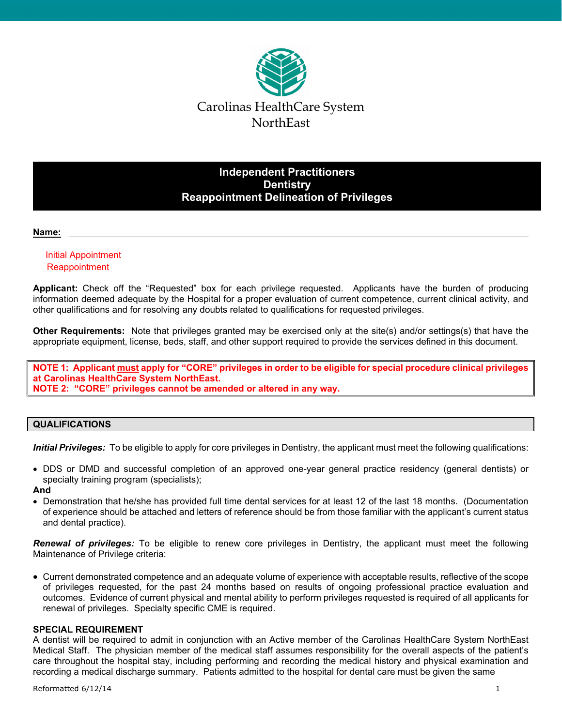

## **Independent Practitioners Dentistry Reappointment Delineation of Privileges**

#### **Name:**

## Initial Appointment **Reappointment**

**Applicant:** Check off the "Requested" box for each privilege requested. Applicants have the burden of producing information deemed adequate by the Hospital for a proper evaluation of current competence, current clinical activity, and other qualifications and for resolving any doubts related to qualifications for requested privileges.

**Other Requirements:** Note that privileges granted may be exercised only at the site(s) and/or settings(s) that have the appropriate equipment, license, beds, staff, and other support required to provide the services defined in this document.

**NOTE 1: Applicant must apply for "CORE" privileges in order to be eligible for special procedure clinical privileges at Carolinas HealthCare System NorthEast. NOTE 2: "CORE" privileges cannot be amended or altered in any way.** 

## **QUALIFICATIONS**

*Initial Privileges:* To be eligible to apply for core privileges in Dentistry, the applicant must meet the following qualifications:

 DDS or DMD and successful completion of an approved one-year general practice residency (general dentists) or specialty training program (specialists);

#### **And**

 Demonstration that he/she has provided full time dental services for at least 12 of the last 18 months. (Documentation of experience should be attached and letters of reference should be from those familiar with the applicant's current status and dental practice).

*Renewal of privileges:* To be eligible to renew core privileges in Dentistry, the applicant must meet the following Maintenance of Privilege criteria:

 Current demonstrated competence and an adequate volume of experience with acceptable results, reflective of the scope of privileges requested, for the past 24 months based on results of ongoing professional practice evaluation and outcomes. Evidence of current physical and mental ability to perform privileges requested is required of all applicants for renewal of privileges. Specialty specific CME is required.

#### **SPECIAL REQUIREMENT**

A dentist will be required to admit in conjunction with an Active member of the Carolinas HealthCare System NorthEast Medical Staff. The physician member of the medical staff assumes responsibility for the overall aspects of the patient's care throughout the hospital stay, including performing and recording the medical history and physical examination and recording a medical discharge summary. Patients admitted to the hospital for dental care must be given the same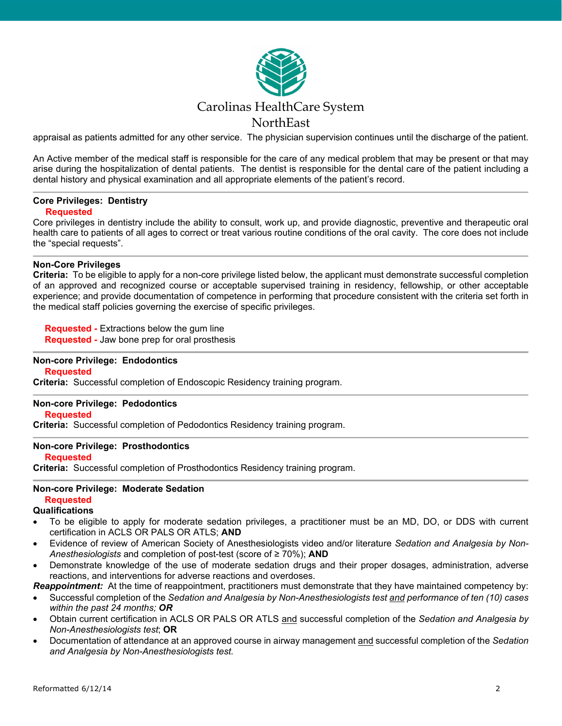

appraisal as patients admitted for any other service. The physician supervision continues until the discharge of the patient.

An Active member of the medical staff is responsible for the care of any medical problem that may be present or that may arise during the hospitalization of dental patients. The dentist is responsible for the dental care of the patient including a dental history and physical examination and all appropriate elements of the patient's record.

# **Core Privileges: Dentistry**

## **Requested**

Core privileges in dentistry include the ability to consult, work up, and provide diagnostic, preventive and therapeutic oral health care to patients of all ages to correct or treat various routine conditions of the oral cavity. The core does not include the "special requests".

#### **Non-Core Privileges**

**Criteria:** To be eligible to apply for a non-core privilege listed below, the applicant must demonstrate successful completion of an approved and recognized course or acceptable supervised training in residency, fellowship, or other acceptable experience; and provide documentation of competence in performing that procedure consistent with the criteria set forth in the medical staff policies governing the exercise of specific privileges.

 **Requested -** Extractions below the gum line

 **Requested -** Jaw bone prep for oral prosthesis

#### **Non-core Privilege: Endodontics Requested**

**Criteria:** Successful completion of Endoscopic Residency training program.

#### **Non-core Privilege: Pedodontics**

 **Requested**

**Criteria:** Successful completion of Pedodontics Residency training program.

#### **Non-core Privilege: Prosthodontics**

#### **Requested**

**Criteria:** Successful completion of Prosthodontics Residency training program.

## **Non-core Privilege: Moderate Sedation Requested**

#### **Qualifications**

- To be eligible to apply for moderate sedation privileges, a practitioner must be an MD, DO, or DDS with current certification in ACLS OR PALS OR ATLS; **AND**
- Evidence of review of American Society of Anesthesiologists video and/or literature *Sedation and Analgesia by Non-Anesthesiologists* and completion of post-test (score of ≥ 70%); **AND**
- Demonstrate knowledge of the use of moderate sedation drugs and their proper dosages, administration, adverse reactions, and interventions for adverse reactions and overdoses.

*Reappointment:* At the time of reappointment, practitioners must demonstrate that they have maintained competency by:

- Successful completion of the *Sedation and Analgesia by Non-Anesthesiologists test and performance of ten (10) cases within the past 24 months; OR*
- Obtain current certification in ACLS OR PALS OR ATLS and successful completion of the *Sedation and Analgesia by Non-Anesthesiologists test*; **OR**
- Documentation of attendance at an approved course in airway management and successful completion of the *Sedation and Analgesia by Non-Anesthesiologists test.*